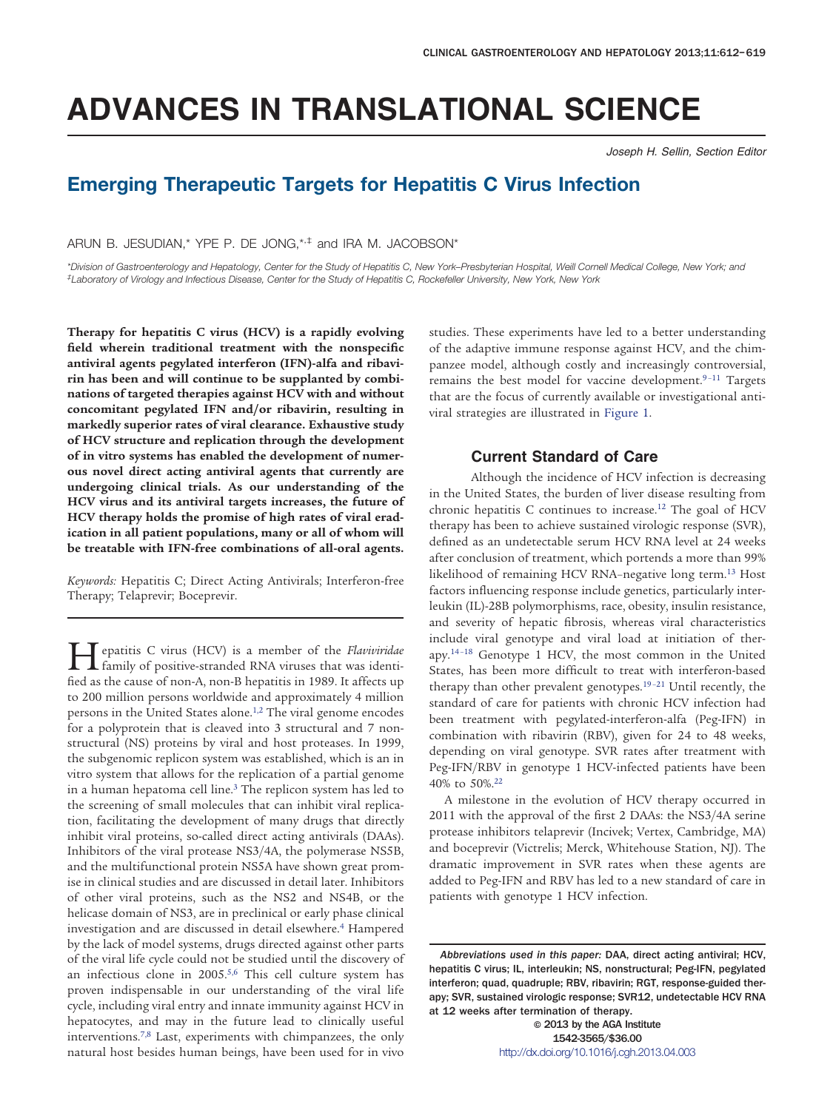# **ADVANCES IN TRANSLATIONAL SCIENCE**

*Joseph H. Sellin, Section Editor*

# **Emerging Therapeutic Targets for Hepatitis C Virus Infection**

ARUN B. JESUDIAN,\* YPE P. DE JONG,\*,‡ and IRA M. JACOBSON\*

*\*Division of Gastroenterology and Hepatology, Center for the Study of Hepatitis C, New York–Presbyterian Hospital, Weill Cornell Medical College, New York; and ‡ Laboratory of Virology and Infectious Disease, Center for the Study of Hepatitis C, Rockefeller University, New York, New York*

**Therapy for hepatitis C virus (HCV) is a rapidly evolving field wherein traditional treatment with the nonspecific antiviral agents pegylated interferon (IFN)-alfa and ribavirin has been and will continue to be supplanted by combinations of targeted therapies against HCV with and without concomitant pegylated IFN and/or ribavirin, resulting in markedly superior rates of viral clearance. Exhaustive study of HCV structure and replication through the development of in vitro systems has enabled the development of numerous novel direct acting antiviral agents that currently are undergoing clinical trials. As our understanding of the HCV virus and its antiviral targets increases, the future of HCV therapy holds the promise of high rates of viral eradication in all patient populations, many or all of whom will be treatable with IFN-free combinations of all-oral agents.**

*Keywords:* Hepatitis C; Direct Acting Antivirals; Interferon-free Therapy; Telaprevir; Boceprevir.

**Hepatitis C virus (HCV) is a member of the** *Flaviviridae*<br>family of positive-stranded RNA viruses that was identi-<br>feed as the seure of non-A non-B hepatitie in 1999. It offerts up fied as the cause of non-A, non-B hepatitis in 1989. It affects up to 200 million persons worldwide and approximately 4 million persons in the United States alone.<sup>1,2</sup> The viral genome encodes for a polyprotein that is cleaved into 3 structural and 7 nonstructural (NS) proteins by viral and host proteases. In 1999, the subgenomic replicon system was established, which is an in vitro system that allows for the replication of a partial genome in a human hepatoma cell line.<sup>3</sup> The replicon system has led to the screening of small molecules that can inhibit viral replication, facilitating the development of many drugs that directly inhibit viral proteins, so-called direct acting antivirals (DAAs). Inhibitors of the viral protease NS3/4A, the polymerase NS5B, and the multifunctional protein NS5A have shown great promise in clinical studies and are discussed in detail later. Inhibitors of other viral proteins, such as the NS2 and NS4B, or the helicase domain of NS3, are in preclinical or early phase clinical investigation and are discussed in detail elsewhere[.4](#page-5-2) Hampered by the lack of model systems, drugs directed against other parts of the viral life cycle could not be studied until the discovery of an infectious clone in 2005.<sup>5,6</sup> This cell culture system has proven indispensable in our understanding of the viral life cycle, including viral entry and innate immunity against HCV in hepatocytes, and may in the future lead to clinically useful interventions[.7,8](#page-5-4) Last, experiments with chimpanzees, the only natural host besides human beings, have been used for in vivo

studies. These experiments have led to a better understanding of the adaptive immune response against HCV, and the chimpanzee model, although costly and increasingly controversial, remains the best model for vaccine development. $9-11$  Targets that are the focus of currently available or investigational antiviral strategies are illustrated in [Figure 1.](#page-1-0)

# **Current Standard of Care**

Although the incidence of HCV infection is decreasing in the United States, the burden of liver disease resulting from chronic hepatitis C continues to increase[.12](#page-5-6) The goal of HCV therapy has been to achieve sustained virologic response (SVR), defined as an undetectable serum HCV RNA level at 24 weeks after conclusion of treatment, which portends a more than 99% likelihood of remaining HCV RNA–negative long term[.13](#page-5-7) Host factors influencing response include genetics, particularly interleukin (IL)-28B polymorphisms, race, obesity, insulin resistance, and severity of hepatic fibrosis, whereas viral characteristics include viral genotype and viral load at initiation of therapy[.14 –18](#page-5-8) Genotype 1 HCV, the most common in the United States, has been more difficult to treat with interferon-based therapy than other prevalent genotypes. $19-21$  Until recently, the standard of care for patients with chronic HCV infection had been treatment with pegylated-interferon-alfa (Peg-IFN) in combination with ribavirin (RBV), given for 24 to 48 weeks, depending on viral genotype. SVR rates after treatment with Peg-IFN/RBV in genotype 1 HCV-infected patients have been 40% to 50%[.22](#page-5-10)

A milestone in the evolution of HCV therapy occurred in 2011 with the approval of the first 2 DAAs: the NS3/4A serine protease inhibitors telaprevir (Incivek; Vertex, Cambridge, MA) and boceprevir (Victrelis; Merck, Whitehouse Station, NJ). The dramatic improvement in SVR rates when these agents are added to Peg-IFN and RBV has led to a new standard of care in patients with genotype 1 HCV infection.

© 2013 by the AGA Institute 1542-3565/\$36.00 <http://dx.doi.org/10.1016/j.cgh.2013.04.003>

*Abbreviations used in this paper:* DAA, direct acting antiviral; HCV, hepatitis C virus; IL, interleukin; NS, nonstructural; Peg-IFN, pegylated interferon; quad, quadruple; RBV, ribavirin; RGT, response-guided therapy; SVR, sustained virologic response; SVR12, undetectable HCV RNA at 12 weeks after termination of therapy.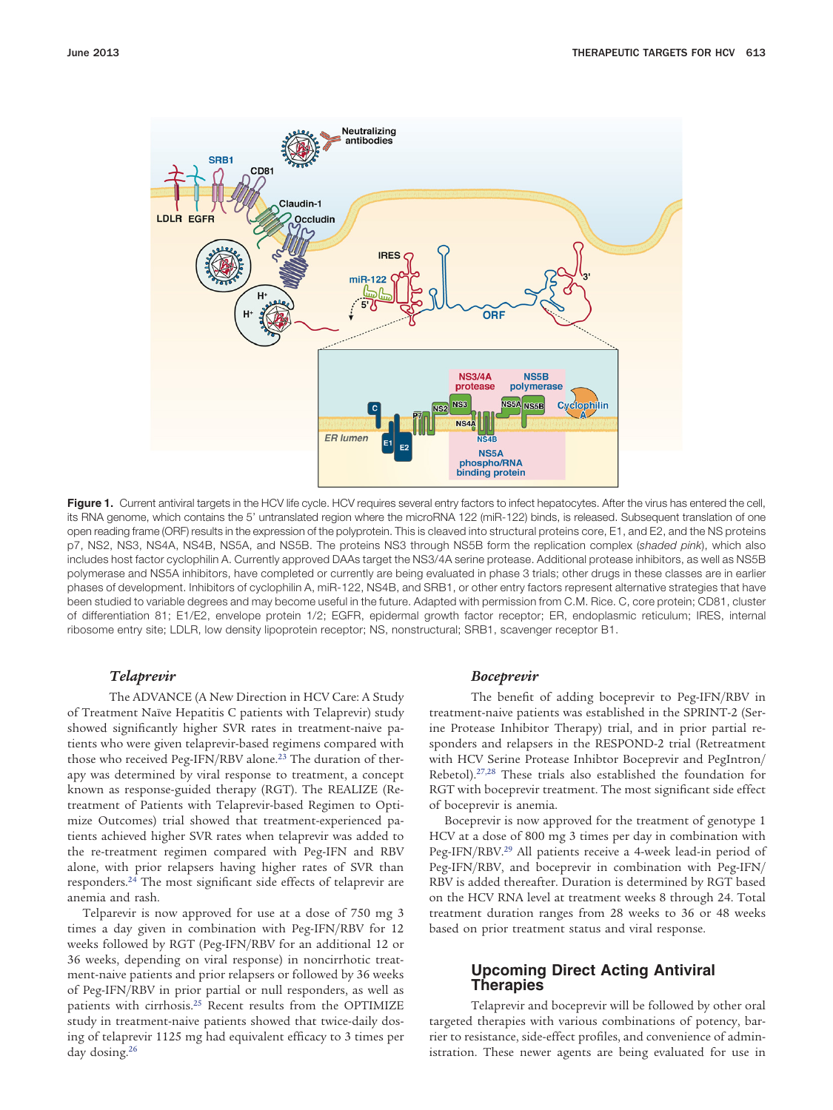

<span id="page-1-0"></span>Figure 1. Current antiviral targets in the HCV life cycle. HCV requires several entry factors to infect hepatocytes. After the virus has entered the cell, its RNA genome, which contains the 5' untranslated region where the microRNA 122 (miR-122) binds, is released. Subsequent translation of one open reading frame (ORF) results in the expression of the polyprotein. This is cleaved into structural proteins core, E1, and E2, and the NS proteins p7, NS2, NS3, NS4A, NS4B, NS5A, and NS5B. The proteins NS3 through NS5B form the replication complex (*shaded pink*), which also includes host factor cyclophilin A. Currently approved DAAs target the NS3/4A serine protease. Additional protease inhibitors, as well as NS5B polymerase and NS5A inhibitors, have completed or currently are being evaluated in phase 3 trials; other drugs in these classes are in earlier phases of development. Inhibitors of cyclophilin A, miR-122, NS4B, and SRB1, or other entry factors represent alternative strategies that have been studied to variable degrees and may become useful in the future. Adapted with permission from C.M. Rice. C, core protein; CD81, cluster of differentiation 81; E1/E2, envelope protein 1/2; EGFR, epidermal growth factor receptor; ER, endoplasmic reticulum; IRES, internal ribosome entry site; LDLR, low density lipoprotein receptor; NS, nonstructural; SRB1, scavenger receptor B1.

#### *Telaprevir*

The ADVANCE (A New Direction in HCV Care: A Study of Treatment Naïve Hepatitis C patients with Telaprevir) study showed significantly higher SVR rates in treatment-naive patients who were given telaprevir-based regimens compared with those who received Peg-IFN/RBV alone.<sup>23</sup> The duration of therapy was determined by viral response to treatment, a concept known as response-guided therapy (RGT). The REALIZE (Retreatment of Patients with Telaprevir-based Regimen to Optimize Outcomes) trial showed that treatment-experienced patients achieved higher SVR rates when telaprevir was added to the re-treatment regimen compared with Peg-IFN and RBV alone, with prior relapsers having higher rates of SVR than responders[.24](#page-5-12) The most significant side effects of telaprevir are anemia and rash.

Telparevir is now approved for use at a dose of 750 mg 3 times a day given in combination with Peg-IFN/RBV for 12 weeks followed by RGT (Peg-IFN/RBV for an additional 12 or 36 weeks, depending on viral response) in noncirrhotic treatment-naive patients and prior relapsers or followed by 36 weeks of Peg-IFN/RBV in prior partial or null responders, as well as patients with cirrhosis[.25](#page-5-13) Recent results from the OPTIMIZE study in treatment-naive patients showed that twice-daily dosing of telaprevir 1125 mg had equivalent efficacy to 3 times per day dosing[.26](#page-5-14)

#### *Boceprevir*

The benefit of adding boceprevir to Peg-IFN/RBV in treatment-naive patients was established in the SPRINT-2 (Serine Protease Inhibitor Therapy) trial, and in prior partial responders and relapsers in the RESPOND-2 trial (Retreatment with HCV Serine Protease Inhibtor Boceprevir and PegIntron/ Rebetol)[.27,28](#page-5-15) These trials also established the foundation for RGT with boceprevir treatment. The most significant side effect of boceprevir is anemia.

Boceprevir is now approved for the treatment of genotype 1 HCV at a dose of 800 mg 3 times per day in combination with Peg-IFN/RBV[.29](#page-5-16) All patients receive a 4-week lead-in period of Peg-IFN/RBV, and boceprevir in combination with Peg-IFN/ RBV is added thereafter. Duration is determined by RGT based on the HCV RNA level at treatment weeks 8 through 24. Total treatment duration ranges from 28 weeks to 36 or 48 weeks based on prior treatment status and viral response.

# **Upcoming Direct Acting Antiviral Therapies**

Telaprevir and boceprevir will be followed by other oral targeted therapies with various combinations of potency, barrier to resistance, side-effect profiles, and convenience of administration. These newer agents are being evaluated for use in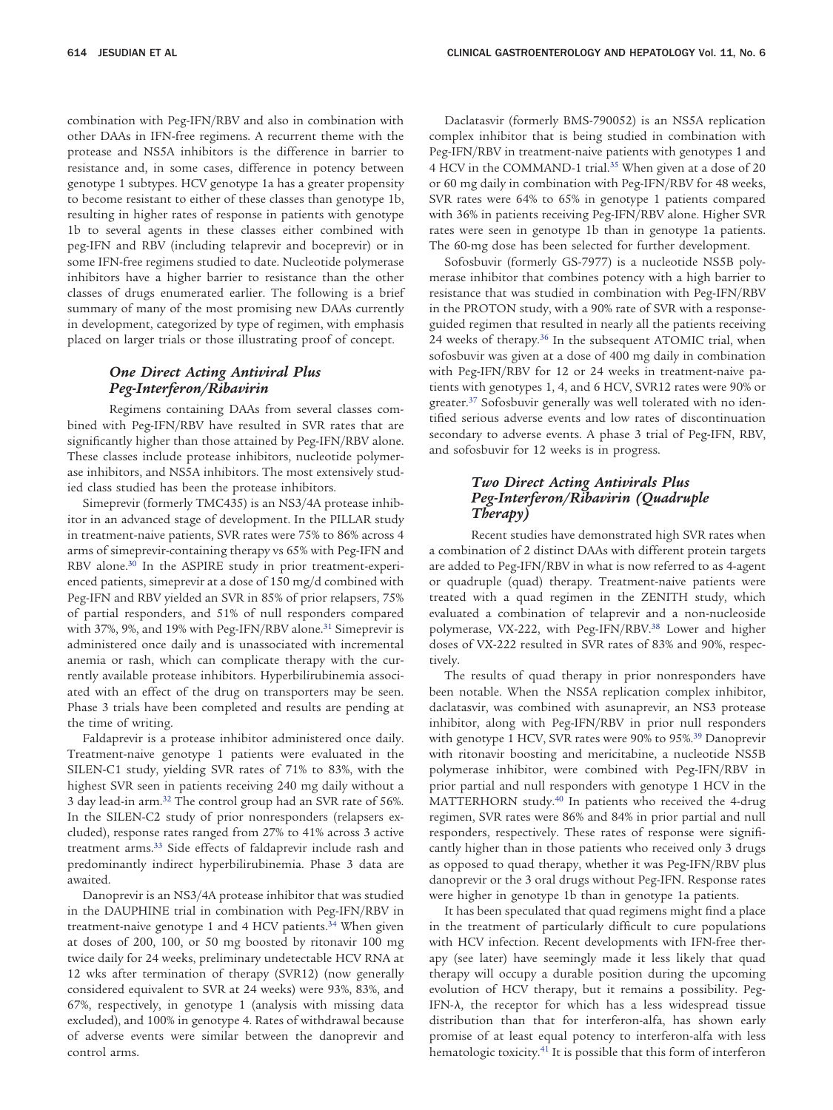combination with Peg-IFN/RBV and also in combination with other DAAs in IFN-free regimens. A recurrent theme with the protease and NS5A inhibitors is the difference in barrier to resistance and, in some cases, difference in potency between genotype 1 subtypes. HCV genotype 1a has a greater propensity to become resistant to either of these classes than genotype 1b, resulting in higher rates of response in patients with genotype 1b to several agents in these classes either combined with peg-IFN and RBV (including telaprevir and boceprevir) or in some IFN-free regimens studied to date. Nucleotide polymerase inhibitors have a higher barrier to resistance than the other classes of drugs enumerated earlier. The following is a brief summary of many of the most promising new DAAs currently in development, categorized by type of regimen, with emphasis placed on larger trials or those illustrating proof of concept.

#### *One Direct Acting Antiviral Plus Peg-Interferon/Ribavirin*

Regimens containing DAAs from several classes combined with Peg-IFN/RBV have resulted in SVR rates that are significantly higher than those attained by Peg-IFN/RBV alone. These classes include protease inhibitors, nucleotide polymerase inhibitors, and NS5A inhibitors. The most extensively studied class studied has been the protease inhibitors.

Simeprevir (formerly TMC435) is an NS3/4A protease inhibitor in an advanced stage of development. In the PILLAR study in treatment-naive patients, SVR rates were 75% to 86% across 4 arms of simeprevir-containing therapy vs 65% with Peg-IFN and RBV alone.<sup>30</sup> In the ASPIRE study in prior treatment-experienced patients, simeprevir at a dose of 150 mg/d combined with Peg-IFN and RBV yielded an SVR in 85% of prior relapsers, 75% of partial responders, and 51% of null responders compared with 37%, 9%, and 19% with Peg-IFN/RBV alone.<sup>31</sup> Simeprevir is administered once daily and is unassociated with incremental anemia or rash, which can complicate therapy with the currently available protease inhibitors. Hyperbilirubinemia associated with an effect of the drug on transporters may be seen. Phase 3 trials have been completed and results are pending at the time of writing.

Faldaprevir is a protease inhibitor administered once daily. Treatment-naive genotype 1 patients were evaluated in the SILEN-C1 study, yielding SVR rates of 71% to 83%, with the highest SVR seen in patients receiving 240 mg daily without a 3 day lead-in arm[.32](#page-5-19) The control group had an SVR rate of 56%. In the SILEN-C2 study of prior nonresponders (relapsers excluded), response rates ranged from 27% to 41% across 3 active treatment arms[.33](#page-5-20) Side effects of faldaprevir include rash and predominantly indirect hyperbilirubinemia. Phase 3 data are awaited.

Danoprevir is an NS3/4A protease inhibitor that was studied in the DAUPHINE trial in combination with Peg-IFN/RBV in treatment-naive genotype 1 and 4 HCV patients.<sup>34</sup> When given at doses of 200, 100, or 50 mg boosted by ritonavir 100 mg twice daily for 24 weeks, preliminary undetectable HCV RNA at 12 wks after termination of therapy (SVR12) (now generally considered equivalent to SVR at 24 weeks) were 93%, 83%, and 67%, respectively, in genotype 1 (analysis with missing data excluded), and 100% in genotype 4. Rates of withdrawal because of adverse events were similar between the danoprevir and control arms.

Daclatasvir (formerly BMS-790052) is an NS5A replication complex inhibitor that is being studied in combination with Peg-IFN/RBV in treatment-naive patients with genotypes 1 and 4 HCV in the COMMAND-1 trial.<sup>35</sup> When given at a dose of 20 or 60 mg daily in combination with Peg-IFN/RBV for 48 weeks, SVR rates were 64% to 65% in genotype 1 patients compared with 36% in patients receiving Peg-IFN/RBV alone. Higher SVR rates were seen in genotype 1b than in genotype 1a patients. The 60-mg dose has been selected for further development.

Sofosbuvir (formerly GS-7977) is a nucleotide NS5B polymerase inhibitor that combines potency with a high barrier to resistance that was studied in combination with Peg-IFN/RBV in the PROTON study, with a 90% rate of SVR with a responseguided regimen that resulted in nearly all the patients receiving 24 weeks of therapy.<sup>36</sup> In the subsequent ATOMIC trial, when sofosbuvir was given at a dose of 400 mg daily in combination with Peg-IFN/RBV for 12 or 24 weeks in treatment-naive patients with genotypes 1, 4, and 6 HCV, SVR12 rates were 90% or greater[.37](#page-5-24) Sofosbuvir generally was well tolerated with no identified serious adverse events and low rates of discontinuation secondary to adverse events. A phase 3 trial of Peg-IFN, RBV, and sofosbuvir for 12 weeks is in progress.

# *Two Direct Acting Antivirals Plus Peg-Interferon/Ribavirin (Quadruple Therapy)*

Recent studies have demonstrated high SVR rates when a combination of 2 distinct DAAs with different protein targets are added to Peg-IFN/RBV in what is now referred to as 4-agent or quadruple (quad) therapy. Treatment-naive patients were treated with a quad regimen in the ZENITH study, which evaluated a combination of telaprevir and a non-nucleoside polymerase, VX-222, with Peg-IFN/RBV.<sup>38</sup> Lower and higher doses of VX-222 resulted in SVR rates of 83% and 90%, respectively.

The results of quad therapy in prior nonresponders have been notable. When the NS5A replication complex inhibitor, daclatasvir, was combined with asunaprevir, an NS3 protease inhibitor, along with Peg-IFN/RBV in prior null responders with genotype 1 HCV, SVR rates were 90% to 95%[.39](#page-6-1) Danoprevir with ritonavir boosting and mericitabine, a nucleotide NS5B polymerase inhibitor, were combined with Peg-IFN/RBV in prior partial and null responders with genotype 1 HCV in the MATTERHORN study[.40](#page-6-2) In patients who received the 4-drug regimen, SVR rates were 86% and 84% in prior partial and null responders, respectively. These rates of response were significantly higher than in those patients who received only 3 drugs as opposed to quad therapy, whether it was Peg-IFN/RBV plus danoprevir or the 3 oral drugs without Peg-IFN. Response rates were higher in genotype 1b than in genotype 1a patients.

It has been speculated that quad regimens might find a place in the treatment of particularly difficult to cure populations with HCV infection. Recent developments with IFN-free therapy (see later) have seemingly made it less likely that quad therapy will occupy a durable position during the upcoming evolution of HCV therapy, but it remains a possibility. Peg-IFN- $\lambda$ , the receptor for which has a less widespread tissue distribution than that for interferon-alfa, has shown early promise of at least equal potency to interferon-alfa with less hematologic toxicity.<sup>41</sup> It is possible that this form of interferon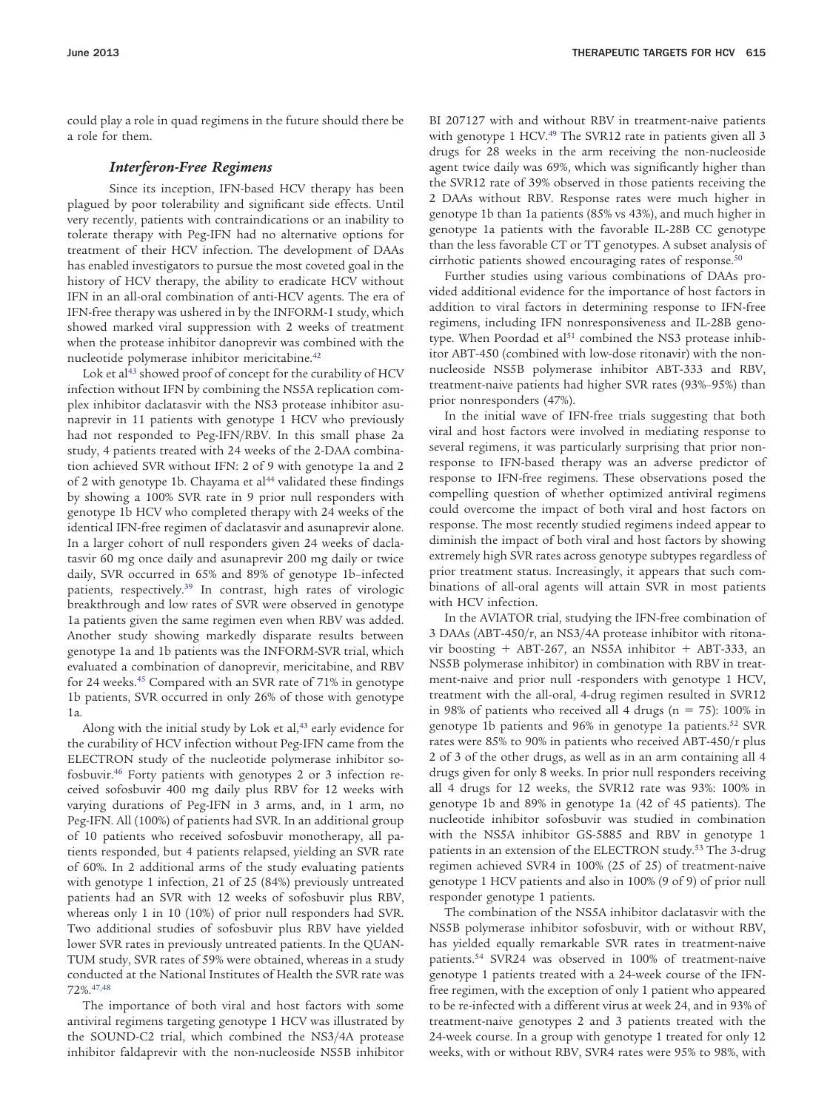could play a role in quad regimens in the future should there be a role for them.

#### *Interferon-Free Regimens*

Since its inception, IFN-based HCV therapy has been plagued by poor tolerability and significant side effects. Until very recently, patients with contraindications or an inability to tolerate therapy with Peg-IFN had no alternative options for treatment of their HCV infection. The development of DAAs has enabled investigators to pursue the most coveted goal in the history of HCV therapy, the ability to eradicate HCV without IFN in an all-oral combination of anti-HCV agents. The era of IFN-free therapy was ushered in by the INFORM-1 study, which showed marked viral suppression with 2 weeks of treatment when the protease inhibitor danoprevir was combined with the nucleotide polymerase inhibitor mericitabine[.42](#page-6-4)

Lok et al<sup>43</sup> showed proof of concept for the curability of HCV infection without IFN by combining the NS5A replication complex inhibitor daclatasvir with the NS3 protease inhibitor asunaprevir in 11 patients with genotype 1 HCV who previously had not responded to Peg-IFN/RBV. In this small phase 2a study, 4 patients treated with 24 weeks of the 2-DAA combination achieved SVR without IFN: 2 of 9 with genotype 1a and 2 of 2 with genotype 1b. Chayama et al<sup>44</sup> validated these findings by showing a 100% SVR rate in 9 prior null responders with genotype 1b HCV who completed therapy with 24 weeks of the identical IFN-free regimen of daclatasvir and asunaprevir alone. In a larger cohort of null responders given 24 weeks of daclatasvir 60 mg once daily and asunaprevir 200 mg daily or twice daily, SVR occurred in 65% and 89% of genotype 1b–infected patients, respectively[.39](#page-6-1) In contrast, high rates of virologic breakthrough and low rates of SVR were observed in genotype 1a patients given the same regimen even when RBV was added. Another study showing markedly disparate results between genotype 1a and 1b patients was the INFORM-SVR trial, which evaluated a combination of danoprevir, mericitabine, and RBV for 24 weeks.<sup>45</sup> Compared with an SVR rate of 71% in genotype 1b patients, SVR occurred in only 26% of those with genotype 1a.

Along with the initial study by Lok et al, $43$  early evidence for the curability of HCV infection without Peg-IFN came from the ELECTRON study of the nucleotide polymerase inhibitor sofosbuvir[.46](#page-6-8) Forty patients with genotypes 2 or 3 infection received sofosbuvir 400 mg daily plus RBV for 12 weeks with varying durations of Peg-IFN in 3 arms, and, in 1 arm, no Peg-IFN. All (100%) of patients had SVR. In an additional group of 10 patients who received sofosbuvir monotherapy, all patients responded, but 4 patients relapsed, yielding an SVR rate of 60%. In 2 additional arms of the study evaluating patients with genotype 1 infection, 21 of 25 (84%) previously untreated patients had an SVR with 12 weeks of sofosbuvir plus RBV, whereas only 1 in 10 (10%) of prior null responders had SVR. Two additional studies of sofosbuvir plus RBV have yielded lower SVR rates in previously untreated patients. In the QUAN-TUM study, SVR rates of 59% were obtained, whereas in a study conducted at the National Institutes of Health the SVR rate was 72%[.47,48](#page-6-9)

The importance of both viral and host factors with some antiviral regimens targeting genotype 1 HCV was illustrated by the SOUND-C2 trial, which combined the NS3/4A protease inhibitor faldaprevir with the non-nucleoside NS5B inhibitor

BI 207127 with and without RBV in treatment-naive patients with genotype 1 HCV.<sup>49</sup> The SVR12 rate in patients given all 3 drugs for 28 weeks in the arm receiving the non-nucleoside agent twice daily was 69%, which was significantly higher than the SVR12 rate of 39% observed in those patients receiving the 2 DAAs without RBV. Response rates were much higher in genotype 1b than 1a patients (85% vs 43%), and much higher in genotype 1a patients with the favorable IL-28B CC genotype than the less favorable CT or TT genotypes. A subset analysis of cirrhotic patients showed encouraging rates of response[.50](#page-6-11)

Further studies using various combinations of DAAs provided additional evidence for the importance of host factors in addition to viral factors in determining response to IFN-free regimens, including IFN nonresponsiveness and IL-28B genotype. When Poordad et al<sup>51</sup> combined the NS3 protease inhibitor ABT-450 (combined with low-dose ritonavir) with the nonnucleoside NS5B polymerase inhibitor ABT-333 and RBV, treatment-naive patients had higher SVR rates (93%–95%) than prior nonresponders (47%).

In the initial wave of IFN-free trials suggesting that both viral and host factors were involved in mediating response to several regimens, it was particularly surprising that prior nonresponse to IFN-based therapy was an adverse predictor of response to IFN-free regimens. These observations posed the compelling question of whether optimized antiviral regimens could overcome the impact of both viral and host factors on response. The most recently studied regimens indeed appear to diminish the impact of both viral and host factors by showing extremely high SVR rates across genotype subtypes regardless of prior treatment status. Increasingly, it appears that such combinations of all-oral agents will attain SVR in most patients with HCV infection.

In the AVIATOR trial, studying the IFN-free combination of 3 DAAs (ABT-450/r, an NS3/4A protease inhibitor with ritonavir boosting  $+$  ABT-267, an NS5A inhibitor  $+$  ABT-333, an NS5B polymerase inhibitor) in combination with RBV in treatment-naive and prior null -responders with genotype 1 HCV, treatment with the all-oral, 4-drug regimen resulted in SVR12 in 98% of patients who received all 4 drugs ( $n = 75$ ): 100% in genotype 1b patients and 96% in genotype 1a patients.<sup>52</sup> SVR rates were 85% to 90% in patients who received ABT-450/r plus 2 of 3 of the other drugs, as well as in an arm containing all 4 drugs given for only 8 weeks. In prior null responders receiving all 4 drugs for 12 weeks, the SVR12 rate was 93%: 100% in genotype 1b and 89% in genotype 1a (42 of 45 patients). The nucleotide inhibitor sofosbuvir was studied in combination with the NS5A inhibitor GS-5885 and RBV in genotype 1 patients in an extension of the ELECTRON study[.53](#page-6-14) The 3-drug regimen achieved SVR4 in 100% (25 of 25) of treatment-naive genotype 1 HCV patients and also in 100% (9 of 9) of prior null responder genotype 1 patients.

The combination of the NS5A inhibitor daclatasvir with the NS5B polymerase inhibitor sofosbuvir, with or without RBV, has yielded equally remarkable SVR rates in treatment-naive patients[.54](#page-6-15) SVR24 was observed in 100% of treatment-naive genotype 1 patients treated with a 24-week course of the IFNfree regimen, with the exception of only 1 patient who appeared to be re-infected with a different virus at week 24, and in 93% of treatment-naive genotypes 2 and 3 patients treated with the 24-week course. In a group with genotype 1 treated for only 12 weeks, with or without RBV, SVR4 rates were 95% to 98%, with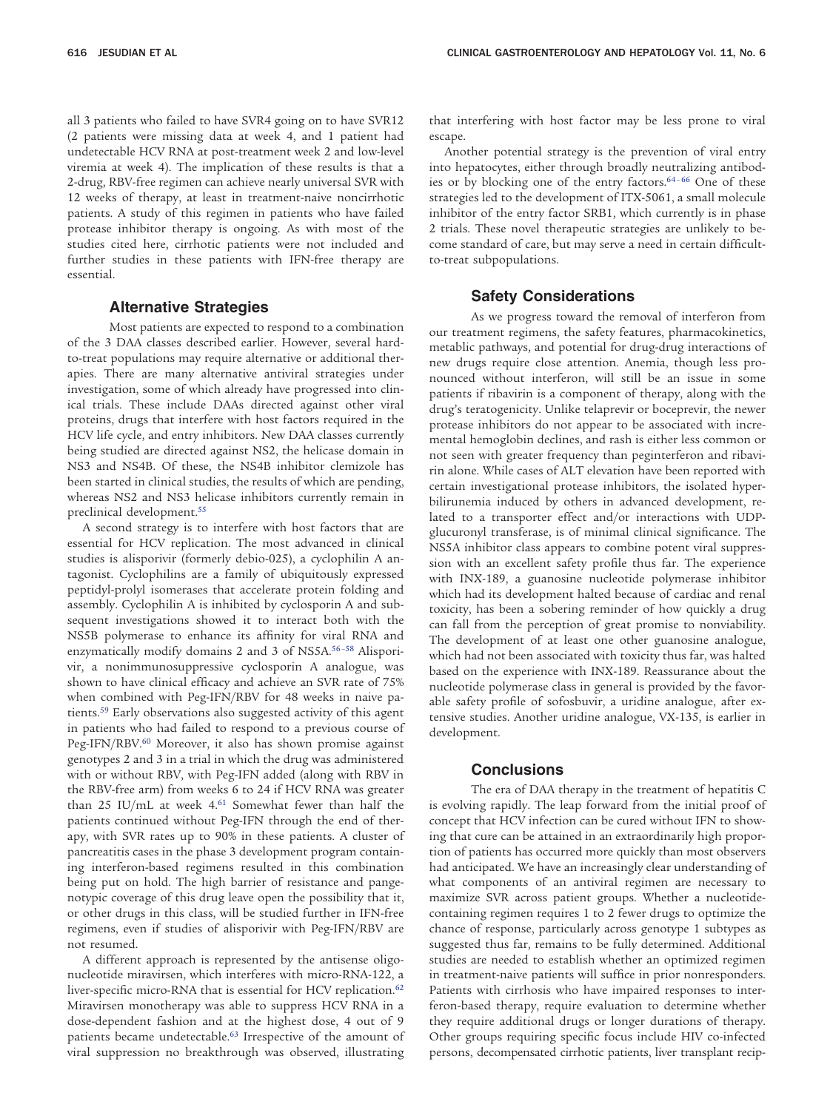all 3 patients who failed to have SVR4 going on to have SVR12 (2 patients were missing data at week 4, and 1 patient had undetectable HCV RNA at post-treatment week 2 and low-level viremia at week 4). The implication of these results is that a 2-drug, RBV-free regimen can achieve nearly universal SVR with 12 weeks of therapy, at least in treatment-naive noncirrhotic patients. A study of this regimen in patients who have failed protease inhibitor therapy is ongoing. As with most of the studies cited here, cirrhotic patients were not included and further studies in these patients with IFN-free therapy are essential.

### **Alternative Strategies**

Most patients are expected to respond to a combination of the 3 DAA classes described earlier. However, several hardto-treat populations may require alternative or additional therapies. There are many alternative antiviral strategies under investigation, some of which already have progressed into clinical trials. These include DAAs directed against other viral proteins, drugs that interfere with host factors required in the HCV life cycle, and entry inhibitors. New DAA classes currently being studied are directed against NS2, the helicase domain in NS3 and NS4B. Of these, the NS4B inhibitor clemizole has been started in clinical studies, the results of which are pending, whereas NS2 and NS3 helicase inhibitors currently remain in preclinical development.<sup>55</sup>

A second strategy is to interfere with host factors that are essential for HCV replication. The most advanced in clinical studies is alisporivir (formerly debio-025), a cyclophilin A antagonist. Cyclophilins are a family of ubiquitously expressed peptidyl-prolyl isomerases that accelerate protein folding and assembly. Cyclophilin A is inhibited by cyclosporin A and subsequent investigations showed it to interact both with the NS5B polymerase to enhance its affinity for viral RNA and enzymatically modify domains 2 and 3 of NS5A.<sup>56-58</sup> Alisporivir, a nonimmunosuppressive cyclosporin A analogue, was shown to have clinical efficacy and achieve an SVR rate of 75% when combined with Peg-IFN/RBV for 48 weeks in naive patients[.59](#page-6-18) Early observations also suggested activity of this agent in patients who had failed to respond to a previous course of Peg-IFN/RBV.<sup>60</sup> Moreover, it also has shown promise against genotypes 2 and 3 in a trial in which the drug was administered with or without RBV, with Peg-IFN added (along with RBV in the RBV-free arm) from weeks 6 to 24 if HCV RNA was greater than 25 IU/mL at week  $4.61$  $4.61$  Somewhat fewer than half the patients continued without Peg-IFN through the end of therapy, with SVR rates up to 90% in these patients. A cluster of pancreatitis cases in the phase 3 development program containing interferon-based regimens resulted in this combination being put on hold. The high barrier of resistance and pangenotypic coverage of this drug leave open the possibility that it, or other drugs in this class, will be studied further in IFN-free regimens, even if studies of alisporivir with Peg-IFN/RBV are not resumed.

A different approach is represented by the antisense oligonucleotide miravirsen, which interferes with micro-RNA-122, a liver-specific micro-RNA that is essential for HCV replication.<sup>62</sup> Miravirsen monotherapy was able to suppress HCV RNA in a dose-dependent fashion and at the highest dose, 4 out of 9 patients became undetectable[.63](#page-6-22) Irrespective of the amount of viral suppression no breakthrough was observed, illustrating

that interfering with host factor may be less prone to viral escape.

Another potential strategy is the prevention of viral entry into hepatocytes, either through broadly neutralizing antibodies or by blocking one of the entry factors.<sup>64-66</sup> One of these strategies led to the development of ITX-5061, a small molecule inhibitor of the entry factor SRB1, which currently is in phase 2 trials. These novel therapeutic strategies are unlikely to become standard of care, but may serve a need in certain difficultto-treat subpopulations.

#### **Safety Considerations**

As we progress toward the removal of interferon from our treatment regimens, the safety features, pharmacokinetics, metablic pathways, and potential for drug-drug interactions of new drugs require close attention. Anemia, though less pronounced without interferon, will still be an issue in some patients if ribavirin is a component of therapy, along with the drug's teratogenicity. Unlike telaprevir or boceprevir, the newer protease inhibitors do not appear to be associated with incremental hemoglobin declines, and rash is either less common or not seen with greater frequency than peginterferon and ribavirin alone. While cases of ALT elevation have been reported with certain investigational protease inhibitors, the isolated hyperbilirunemia induced by others in advanced development, related to a transporter effect and/or interactions with UDPglucuronyl transferase, is of minimal clinical significance. The NS5A inhibitor class appears to combine potent viral suppression with an excellent safety profile thus far. The experience with INX-189, a guanosine nucleotide polymerase inhibitor which had its development halted because of cardiac and renal toxicity, has been a sobering reminder of how quickly a drug can fall from the perception of great promise to nonviability. The development of at least one other guanosine analogue, which had not been associated with toxicity thus far, was halted based on the experience with INX-189. Reassurance about the nucleotide polymerase class in general is provided by the favorable safety profile of sofosbuvir, a uridine analogue, after extensive studies. Another uridine analogue, VX-135, is earlier in development.

#### **Conclusions**

The era of DAA therapy in the treatment of hepatitis C is evolving rapidly. The leap forward from the initial proof of concept that HCV infection can be cured without IFN to showing that cure can be attained in an extraordinarily high proportion of patients has occurred more quickly than most observers had anticipated. We have an increasingly clear understanding of what components of an antiviral regimen are necessary to maximize SVR across patient groups. Whether a nucleotidecontaining regimen requires 1 to 2 fewer drugs to optimize the chance of response, particularly across genotype 1 subtypes as suggested thus far, remains to be fully determined. Additional studies are needed to establish whether an optimized regimen in treatment-naive patients will suffice in prior nonresponders. Patients with cirrhosis who have impaired responses to interferon-based therapy, require evaluation to determine whether they require additional drugs or longer durations of therapy. Other groups requiring specific focus include HIV co-infected persons, decompensated cirrhotic patients, liver transplant recip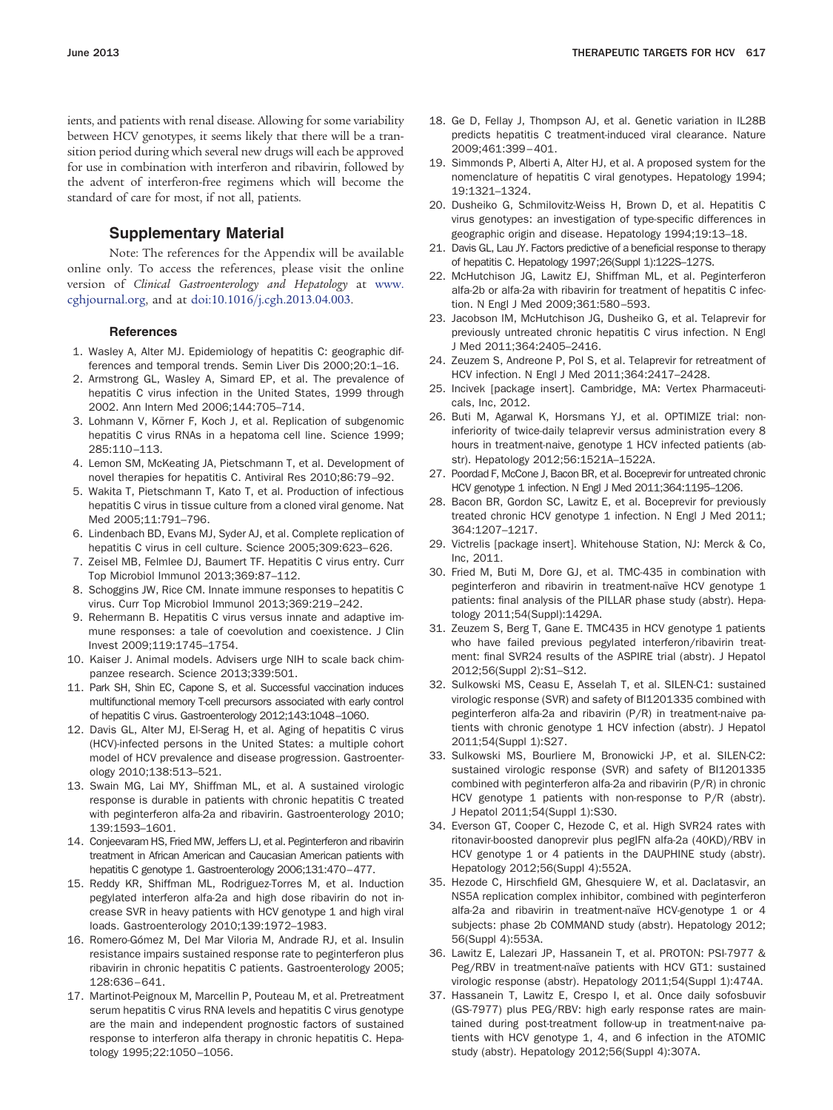ients, and patients with renal disease. Allowing for some variability between HCV genotypes, it seems likely that there will be a transition period during which several new drugs will each be approved for use in combination with interferon and ribavirin, followed by the advent of interferon-free regimens which will become the standard of care for most, if not all, patients.

### **Supplementary Material**

Note: The references for the Appendix will be available online only. To access the references, please visit the online version of *Clinical Gastroenterology and Hepatology* at [www.](http://www.cghjournal.org) [cghjournal.org,](http://www.cghjournal.org) and at [doi:10.1016/j.cgh.2013.04.003.](http://dx.doi.org/10.1016/j.cgh.2013.04.003)

#### **References**

- <span id="page-5-0"></span>1. Wasley A, Alter MJ. Epidemiology of hepatitis C: geographic differences and temporal trends. Semin Liver Dis 2000;20:1–16.
- 2. Armstrong GL, Wasley A, Simard EP, et al. The prevalence of hepatitis C virus infection in the United States, 1999 through 2002. Ann Intern Med 2006;144:705–714.
- <span id="page-5-1"></span>3. Lohmann V, Körner F, Koch J, et al. Replication of subgenomic hepatitis C virus RNAs in a hepatoma cell line. Science 1999; 285:110–113.
- <span id="page-5-3"></span><span id="page-5-2"></span>4. Lemon SM, McKeating JA, Pietschmann T, et al. Development of novel therapies for hepatitis C. Antiviral Res 2010;86:79–92.
- 5. Wakita T, Pietschmann T, Kato T, et al. Production of infectious hepatitis C virus in tissue culture from a cloned viral genome. Nat Med 2005;11:791–796.
- <span id="page-5-4"></span>6. Lindenbach BD, Evans MJ, Syder AJ, et al. Complete replication of hepatitis C virus in cell culture. Science 2005;309:623–626.
- 7. Zeisel MB, Felmlee DJ, Baumert TF. Hepatitis C virus entry. Curr Top Microbiol Immunol 2013;369:87–112.
- <span id="page-5-5"></span>8. Schoggins JW, Rice CM. Innate immune responses to hepatitis C virus. Curr Top Microbiol Immunol 2013;369:219–242.
- 9. Rehermann B. Hepatitis C virus versus innate and adaptive immune responses: a tale of coevolution and coexistence. J Clin Invest 2009;119:1745–1754.
- 10. Kaiser J. Animal models. Advisers urge NIH to scale back chimpanzee research. Science 2013;339:501.
- 11. Park SH, Shin EC, Capone S, et al. Successful vaccination induces multifunctional memory T-cell precursors associated with early control of hepatitis C virus. Gastroenterology 2012;143:1048–1060.
- <span id="page-5-6"></span>12. Davis GL, Alter MJ, El-Serag H, et al. Aging of hepatitis C virus (HCV)-infected persons in the United States: a multiple cohort model of HCV prevalence and disease progression. Gastroenterology 2010;138:513–521.
- <span id="page-5-7"></span>13. Swain MG, Lai MY, Shiffman ML, et al. A sustained virologic response is durable in patients with chronic hepatitis C treated with peginterferon alfa-2a and ribavirin. Gastroenterology 2010; 139:1593–1601.
- <span id="page-5-8"></span>14. Conjeevaram HS, Fried MW, Jeffers LJ, et al. Peginterferon and ribavirin treatment in African American and Caucasian American patients with hepatitis C genotype 1. Gastroenterology 2006;131:470–477.
- 15. Reddy KR, Shiffman ML, Rodriguez-Torres M, et al. Induction pegylated interferon alfa-2a and high dose ribavirin do not increase SVR in heavy patients with HCV genotype 1 and high viral loads. Gastroenterology 2010;139:1972–1983.
- 16. Romero-Gómez M, Del Mar Viloria M, Andrade RJ, et al. Insulin resistance impairs sustained response rate to peginterferon plus ribavirin in chronic hepatitis C patients. Gastroenterology 2005; 128:636–641.
- 17. Martinot-Peignoux M, Marcellin P, Pouteau M, et al. Pretreatment serum hepatitis C virus RNA levels and hepatitis C virus genotype are the main and independent prognostic factors of sustained response to interferon alfa therapy in chronic hepatitis C. Hepatology 1995;22:1050–1056.
- 18. Ge D, Fellay J, Thompson AJ, et al. Genetic variation in IL28B predicts hepatitis C treatment-induced viral clearance. Nature 2009;461:399–401.
- <span id="page-5-9"></span>19. Simmonds P, Alberti A, Alter HJ, et al. A proposed system for the nomenclature of hepatitis C viral genotypes. Hepatology 1994; 19:1321–1324.
- 20. Dusheiko G, Schmilovitz-Weiss H, Brown D, et al. Hepatitis C virus genotypes: an investigation of type-specific differences in geographic origin and disease. Hepatology 1994;19:13–18.
- <span id="page-5-10"></span>21. Davis GL, Lau JY. Factors predictive of a beneficial response to therapy of hepatitis C. Hepatology 1997;26(Suppl 1):122S–127S.
- 22. McHutchison JG, Lawitz EJ, Shiffman ML, et al. Peginterferon alfa-2b or alfa-2a with ribavirin for treatment of hepatitis C infection. N Engl J Med 2009;361:580–593.
- <span id="page-5-11"></span>23. Jacobson IM, McHutchison JG, Dusheiko G, et al. Telaprevir for previously untreated chronic hepatitis C virus infection. N Engl J Med 2011;364:2405–2416.
- <span id="page-5-13"></span><span id="page-5-12"></span>24. Zeuzem S, Andreone P, Pol S, et al. Telaprevir for retreatment of HCV infection. N Engl J Med 2011;364:2417–2428.
- <span id="page-5-14"></span>25. Incivek [package insert]. Cambridge, MA: Vertex Pharmaceuticals, Inc, 2012.
- 26. Buti M, Agarwal K, Horsmans YJ, et al. OPTIMIZE trial: noninferiority of twice-daily telaprevir versus administration every 8 hours in treatment-naive, genotype 1 HCV infected patients (abstr). Hepatology 2012;56:1521A–1522A.
- <span id="page-5-15"></span>27. Poordad F, McCone J, Bacon BR, et al. Boceprevir for untreated chronic HCV genotype 1 infection. N Engl J Med 2011;364:1195–1206.
- 28. Bacon BR, Gordon SC, Lawitz E, et al. Boceprevir for previously treated chronic HCV genotype 1 infection. N Engl J Med 2011; 364:1207–1217.
- <span id="page-5-17"></span><span id="page-5-16"></span>29. Victrelis [package insert]. Whitehouse Station, NJ: Merck & Co, Inc, 2011.
- 30. Fried M, Buti M, Dore GJ, et al. TMC-435 in combination with peginterferon and ribavirin in treatment-naïve HCV genotype 1 patients: final analysis of the PILLAR phase study (abstr). Hepatology 2011;54(Suppl):1429A.
- <span id="page-5-18"></span>31. Zeuzem S, Berg T, Gane E. TMC435 in HCV genotype 1 patients who have failed previous pegylated interferon/ribavirin treatment: final SVR24 results of the ASPIRE trial (abstr). J Hepatol 2012;56(Suppl 2):S1–S12.
- <span id="page-5-19"></span>32. Sulkowski MS, Ceasu E, Asselah T, et al. SILEN-C1: sustained virologic response (SVR) and safety of BI1201335 combined with peginterferon alfa-2a and ribavirin (P/R) in treatment-naive patients with chronic genotype 1 HCV infection (abstr). J Hepatol 2011;54(Suppl 1):S27.
- <span id="page-5-20"></span>33. Sulkowski MS, Bourliere M, Bronowicki J-P, et al. SILEN-C2: sustained virologic response (SVR) and safety of BI1201335 combined with peginterferon alfa-2a and ribavirin (P/R) in chronic HCV genotype 1 patients with non-response to P/R (abstr). J Hepatol 2011;54(Suppl 1):S30.
- <span id="page-5-21"></span>34. Everson GT, Cooper C, Hezode C, et al. High SVR24 rates with ritonavir-boosted danoprevir plus pegIFN alfa-2a (40KD)/RBV in HCV genotype 1 or 4 patients in the DAUPHINE study (abstr). Hepatology 2012;56(Suppl 4):552A.
- <span id="page-5-22"></span>35. Hezode C, Hirschfield GM, Ghesquiere W, et al. Daclatasvir, an NS5A replication complex inhibitor, combined with peginterferon alfa-2a and ribavirin in treatment-naïve HCV-genotype 1 or 4 subjects: phase 2b COMMAND study (abstr). Hepatology 2012; 56(Suppl 4):553A.
- <span id="page-5-23"></span>36. Lawitz E, Lalezari JP, Hassanein T, et al. PROTON: PSI-7977 & Peg/RBV in treatment-naïve patients with HCV GT1: sustained virologic response (abstr). Hepatology 2011;54(Suppl 1):474A.
- <span id="page-5-24"></span>37. Hassanein T, Lawitz E, Crespo I, et al. Once daily sofosbuvir (GS-7977) plus PEG/RBV: high early response rates are maintained during post-treatment follow-up in treatment-naive patients with HCV genotype 1, 4, and 6 infection in the ATOMIC study (abstr). Hepatology 2012;56(Suppl 4):307A.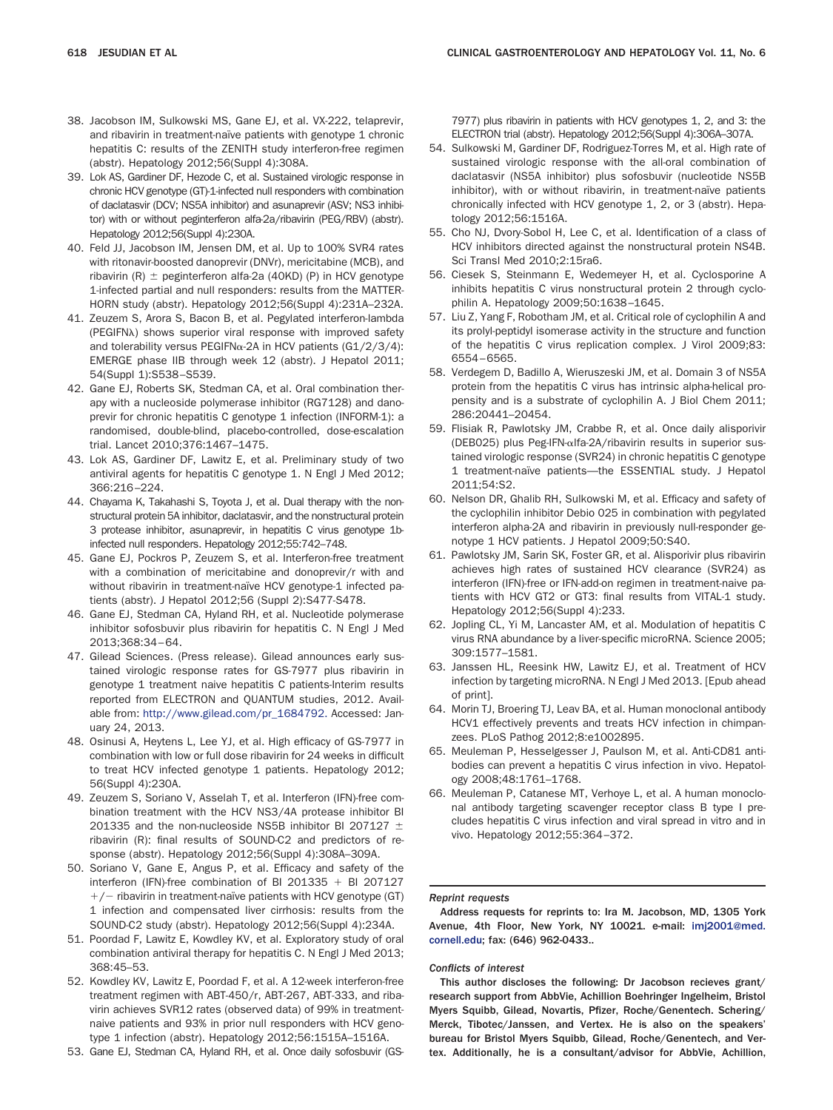- <span id="page-6-0"></span>38. Jacobson IM, Sulkowski MS, Gane EJ, et al. VX-222, telaprevir, and ribavirin in treatment-naïve patients with genotype 1 chronic hepatitis C: results of the ZENITH study interferon-free regimen (abstr). Hepatology 2012;56(Suppl 4):308A.
- <span id="page-6-1"></span>39. Lok AS, Gardiner DF, Hezode C, et al. Sustained virologic response in chronic HCV genotype (GT)-1-infected null responders with combination of daclatasvir (DCV; NS5A inhibitor) and asunaprevir (ASV; NS3 inhibitor) with or without peginterferon alfa-2a/ribavirin (PEG/RBV) (abstr). Hepatology 2012;56(Suppl 4):230A.
- <span id="page-6-2"></span>40. Feld JJ, Jacobson IM, Jensen DM, et al. Up to 100% SVR4 rates with ritonavir-boosted danoprevir (DNVr), mericitabine (MCB), and ribavirin  $(R)$   $\pm$  peginterferon alfa-2a (40KD) (P) in HCV genotype 1-infected partial and null responders: results from the MATTER-HORN study (abstr). Hepatology 2012;56(Suppl 4):231A–232A.
- <span id="page-6-3"></span>41. Zeuzem S, Arora S, Bacon B, et al. Pegylated interferon-lambda (PEGIFN) shows superior viral response with improved safety and tolerability versus PEGIFN $\alpha$ -2A in HCV patients (G1/2/3/4): EMERGE phase IIB through week 12 (abstr). J Hepatol 2011; 54(Suppl 1):S538–S539.
- <span id="page-6-4"></span>42. Gane EJ, Roberts SK, Stedman CA, et al. Oral combination therapy with a nucleoside polymerase inhibitor (RG7128) and danoprevir for chronic hepatitis C genotype 1 infection (INFORM-1): a randomised, double-blind, placebo-controlled, dose-escalation trial. Lancet 2010;376:1467–1475.
- <span id="page-6-5"></span>43. Lok AS, Gardiner DF, Lawitz E, et al. Preliminary study of two antiviral agents for hepatitis C genotype 1. N Engl J Med 2012; 366:216–224.
- <span id="page-6-6"></span>44. Chayama K, Takahashi S, Toyota J, et al. Dual therapy with the nonstructural protein 5A inhibitor, daclatasvir, and the nonstructural protein 3 protease inhibitor, asunaprevir, in hepatitis C virus genotype 1binfected null responders. Hepatology 2012;55:742–748.
- <span id="page-6-7"></span>45. Gane EJ, Pockros P, Zeuzem S, et al. Interferon-free treatment with a combination of mericitabine and donoprevir/r with and without ribavirin in treatment-naïve HCV genotype-1 infected patients (abstr). J Hepatol 2012;56 (Suppl 2):S477-S478.
- <span id="page-6-8"></span>46. Gane EJ, Stedman CA, Hyland RH, et al. Nucleotide polymerase inhibitor sofosbuvir plus ribavirin for hepatitis C. N Engl J Med 2013;368:34–64.
- <span id="page-6-9"></span>47. Gilead Sciences. (Press release). Gilead announces early sustained virologic response rates for GS-7977 plus ribavirin in genotype 1 treatment naive hepatitis C patients-Interim results reported from ELECTRON and QUANTUM studies, 2012. Available from: [http://www.gilead.com/pr\\_1684792.](http://www.gilead.com/pr_1684792) Accessed: January 24, 2013.
- 48. Osinusi A, Heytens L, Lee YJ, et al. High efficacy of GS-7977 in combination with low or full dose ribavirin for 24 weeks in difficult to treat HCV infected genotype 1 patients. Hepatology 2012; 56(Suppl 4):230A.
- <span id="page-6-10"></span>49. Zeuzem S, Soriano V, Asselah T, et al. Interferon (IFN)-free combination treatment with the HCV NS3/4A protease inhibitor BI 201335 and the non-nucleoside NS5B inhibitor BI 207127  $\pm$ ribavirin (R): final results of SOUND-C2 and predictors of response (abstr). Hepatology 2012;56(Suppl 4):308A–309A.
- <span id="page-6-11"></span>50. Soriano V, Gane E, Angus P, et al. Efficacy and safety of the interferon (IFN)-free combination of BI 201335  $+$  BI 207127  $+/-$  ribavirin in treatment-naïve patients with HCV genotype (GT) 1 infection and compensated liver cirrhosis: results from the SOUND-C2 study (abstr). Hepatology 2012;56(Suppl 4):234A.
- <span id="page-6-12"></span>51. Poordad F, Lawitz E, Kowdley KV, et al. Exploratory study of oral combination antiviral therapy for hepatitis C. N Engl J Med 2013; 368:45–53.
- <span id="page-6-13"></span>52. Kowdley KV, Lawitz E, Poordad F, et al. A 12-week interferon-free treatment regimen with ABT-450/r, ABT-267, ABT-333, and ribavirin achieves SVR12 rates (observed data) of 99% in treatmentnaive patients and 93% in prior null responders with HCV genotype 1 infection (abstr). Hepatology 2012;56:1515A–1516A.
- <span id="page-6-14"></span>53. Gane EJ, Stedman CA, Hyland RH, et al. Once daily sofosbuvir (GS-

7977) plus ribavirin in patients with HCV genotypes 1, 2, and 3: the ELECTRON trial (abstr). Hepatology 2012;56(Suppl 4):306A–307A.

- <span id="page-6-15"></span>54. Sulkowski M, Gardiner DF, Rodriguez-Torres M, et al. High rate of sustained virologic response with the all-oral combination of daclatasvir (NS5A inhibitor) plus sofosbuvir (nucleotide NS5B inhibitor), with or without ribavirin, in treatment-naïve patients chronically infected with HCV genotype 1, 2, or 3 (abstr). Hepatology 2012;56:1516A.
- <span id="page-6-16"></span>55. Cho NJ, Dvory-Sobol H, Lee C, et al. Identification of a class of HCV inhibitors directed against the nonstructural protein NS4B. Sci Transl Med 2010;2:15ra6.
- <span id="page-6-17"></span>56. Ciesek S, Steinmann E, Wedemeyer H, et al. Cyclosporine A inhibits hepatitis C virus nonstructural protein 2 through cyclophilin A. Hepatology 2009;50:1638–1645.
- 57. Liu Z, Yang F, Robotham JM, et al. Critical role of cyclophilin A and its prolyl-peptidyl isomerase activity in the structure and function of the hepatitis C virus replication complex. J Virol 2009;83: 6554–6565.
- 58. Verdegem D, Badillo A, Wieruszeski JM, et al. Domain 3 of NS5A protein from the hepatitis C virus has intrinsic alpha-helical propensity and is a substrate of cyclophilin A. J Biol Chem 2011; 286:20441–20454.
- <span id="page-6-18"></span>59. Flisiak R, Pawlotsky JM, Crabbe R, et al. Once daily alisporivir (DEB025) plus Peg-IFN- $\alpha$ Ifa-2A/ribavirin results in superior sustained virologic response (SVR24) in chronic hepatitis C genotype 1 treatment-naïve patients—the ESSENTIAL study. J Hepatol 2011;54:S2.
- <span id="page-6-19"></span>60. Nelson DR, Ghalib RH, Sulkowski M, et al. Efficacy and safety of the cyclophilin inhibitor Debio 025 in combination with pegylated interferon alpha-2A and ribavirin in previously null-responder genotype 1 HCV patients. J Hepatol 2009;50:S40.
- <span id="page-6-20"></span>61. Pawlotsky JM, Sarin SK, Foster GR, et al. Alisporivir plus ribavirin achieves high rates of sustained HCV clearance (SVR24) as interferon (IFN)-free or IFN-add-on regimen in treatment-naive patients with HCV GT2 or GT3: final results from VITAL-1 study. Hepatology 2012;56(Suppl 4):233.
- <span id="page-6-21"></span>62. Jopling CL, Yi M, Lancaster AM, et al. Modulation of hepatitis C virus RNA abundance by a liver-specific microRNA. Science 2005; 309:1577–1581.
- <span id="page-6-22"></span>63. Janssen HL, Reesink HW, Lawitz EJ, et al. Treatment of HCV infection by targeting microRNA. N Engl J Med 2013. [Epub ahead of print].
- <span id="page-6-23"></span>64. Morin TJ, Broering TJ, Leav BA, et al. Human monoclonal antibody HCV1 effectively prevents and treats HCV infection in chimpanzees. PLoS Pathog 2012;8:e1002895.
- 65. Meuleman P, Hesselgesser J, Paulson M, et al. Anti-CD81 antibodies can prevent a hepatitis C virus infection in vivo. Hepatology 2008;48:1761–1768.
- 66. Meuleman P, Catanese MT, Verhoye L, et al. A human monoclonal antibody targeting scavenger receptor class B type I precludes hepatitis C virus infection and viral spread in vitro and in vivo. Hepatology 2012;55:364–372.

#### *Reprint requests*

Address requests for reprints to: Ira M. Jacobson, MD, 1305 York Avenue, 4th Floor, New York, NY 10021. e-mail: [imj2001@med.](mailto:imj2001@med.cornell.edu) [cornell.edu;](mailto:imj2001@med.cornell.edu) fax: (646) 962-0433..

#### *Conflicts of interest*

This author discloses the following: Dr Jacobson recieves grant/ research support from AbbVie, Achillion Boehringer Ingelheim, Bristol Myers Squibb, Gilead, Novartis, Pfizer, Roche/Genentech. Schering/ Merck, Tibotec/Janssen, and Vertex. He is also on the speakers' bureau for Bristol Myers Squibb, Gilead, Roche/Genentech, and Vertex. Additionally, he is a consultant/advisor for AbbVie, Achillion,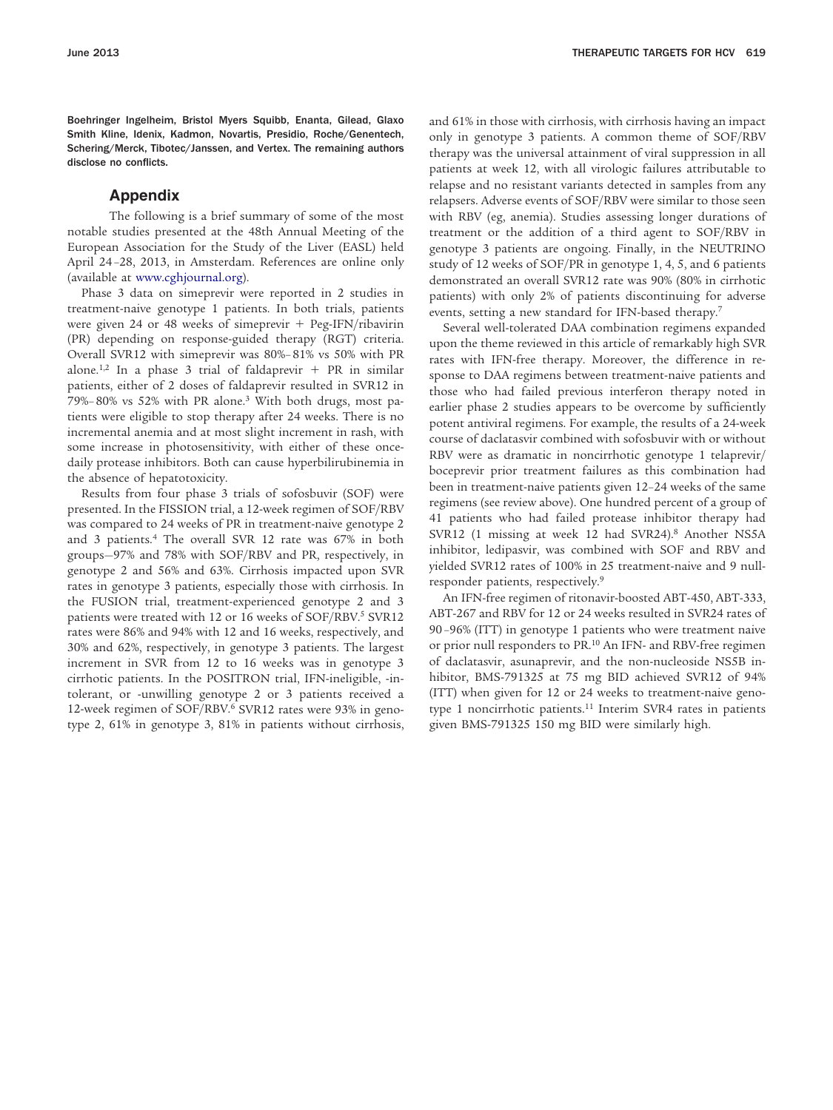Boehringer Ingelheim, Bristol Myers Squibb, Enanta, Gilead, Glaxo Smith Kline, Idenix, Kadmon, Novartis, Presidio, Roche/Genentech, Schering/Merck, Tibotec/Janssen, and Vertex. The remaining authors disclose no conflicts.

### **Appendix**

The following is a brief summary of some of the most notable studies presented at the 48th Annual Meeting of the European Association for the Study of the Liver (EASL) held April 24 –28, 2013, in Amsterdam. References are online only (available at [www.cghjournal.org\)](http://www.cghjournal.org).

Phase 3 data on simeprevir were reported in 2 studies in treatment-naive genotype 1 patients. In both trials, patients were given 24 or 48 weeks of simeprevir + Peg-IFN/ribavirin (PR) depending on response-guided therapy (RGT) criteria. Overall SVR12 with simeprevir was 80%– 81% vs 50% with PR alone.<sup>1,2</sup> In a phase 3 trial of faldaprevir  $+$  PR in similar patients, either of 2 doses of faldaprevir resulted in SVR12 in 79%– 80% vs 52% with PR alone.3 With both drugs, most patients were eligible to stop therapy after 24 weeks. There is no incremental anemia and at most slight increment in rash, with some increase in photosensitivity, with either of these oncedaily protease inhibitors. Both can cause hyperbilirubinemia in the absence of hepatotoxicity.

Results from four phase 3 trials of sofosbuvir (SOF) were presented. In the FISSION trial, a 12-week regimen of SOF/RBV was compared to 24 weeks of PR in treatment-naive genotype 2 and 3 patients.<sup>4</sup> The overall SVR 12 rate was 67% in both groups—97% and 78% with SOF/RBV and PR, respectively, in genotype 2 and 56% and 63%. Cirrhosis impacted upon SVR rates in genotype 3 patients, especially those with cirrhosis. In the FUSION trial, treatment-experienced genotype 2 and 3 patients were treated with 12 or 16 weeks of SOF/RBV.<sup>5</sup> SVR12 rates were 86% and 94% with 12 and 16 weeks, respectively, and 30% and 62%, respectively, in genotype 3 patients. The largest increment in SVR from 12 to 16 weeks was in genotype 3 cirrhotic patients. In the POSITRON trial, IFN-ineligible, -intolerant, or -unwilling genotype 2 or 3 patients received a 12-week regimen of SOF/RBV.6 SVR12 rates were 93% in genotype 2, 61% in genotype 3, 81% in patients without cirrhosis,

and 61% in those with cirrhosis, with cirrhosis having an impact only in genotype 3 patients. A common theme of SOF/RBV therapy was the universal attainment of viral suppression in all patients at week 12, with all virologic failures attributable to relapse and no resistant variants detected in samples from any relapsers. Adverse events of SOF/RBV were similar to those seen with RBV (eg, anemia). Studies assessing longer durations of treatment or the addition of a third agent to SOF/RBV in genotype 3 patients are ongoing. Finally, in the NEUTRINO study of 12 weeks of SOF/PR in genotype 1, 4, 5, and 6 patients demonstrated an overall SVR12 rate was 90% (80% in cirrhotic patients) with only 2% of patients discontinuing for adverse events, setting a new standard for IFN-based therapy.7

Several well-tolerated DAA combination regimens expanded upon the theme reviewed in this article of remarkably high SVR rates with IFN-free therapy. Moreover, the difference in response to DAA regimens between treatment-naive patients and those who had failed previous interferon therapy noted in earlier phase 2 studies appears to be overcome by sufficiently potent antiviral regimens. For example, the results of a 24-week course of daclatasvir combined with sofosbuvir with or without RBV were as dramatic in noncirrhotic genotype 1 telaprevir/ boceprevir prior treatment failures as this combination had been in treatment-naive patients given 12–24 weeks of the same regimens (see review above). One hundred percent of a group of 41 patients who had failed protease inhibitor therapy had SVR12 (1 missing at week 12 had SVR24).8 Another NS5A inhibitor, ledipasvir, was combined with SOF and RBV and yielded SVR12 rates of 100% in 25 treatment-naive and 9 nullresponder patients, respectively.9

An IFN-free regimen of ritonavir-boosted ABT-450, ABT-333, ABT-267 and RBV for 12 or 24 weeks resulted in SVR24 rates of 90 –96% (ITT) in genotype 1 patients who were treatment naive or prior null responders to PR.<sup>10</sup> An IFN- and RBV-free regimen of daclatasvir, asunaprevir, and the non-nucleoside NS5B inhibitor, BMS-791325 at 75 mg BID achieved SVR12 of 94% (ITT) when given for 12 or 24 weeks to treatment-naive genotype 1 noncirrhotic patients.<sup>11</sup> Interim SVR4 rates in patients given BMS-791325 150 mg BID were similarly high.